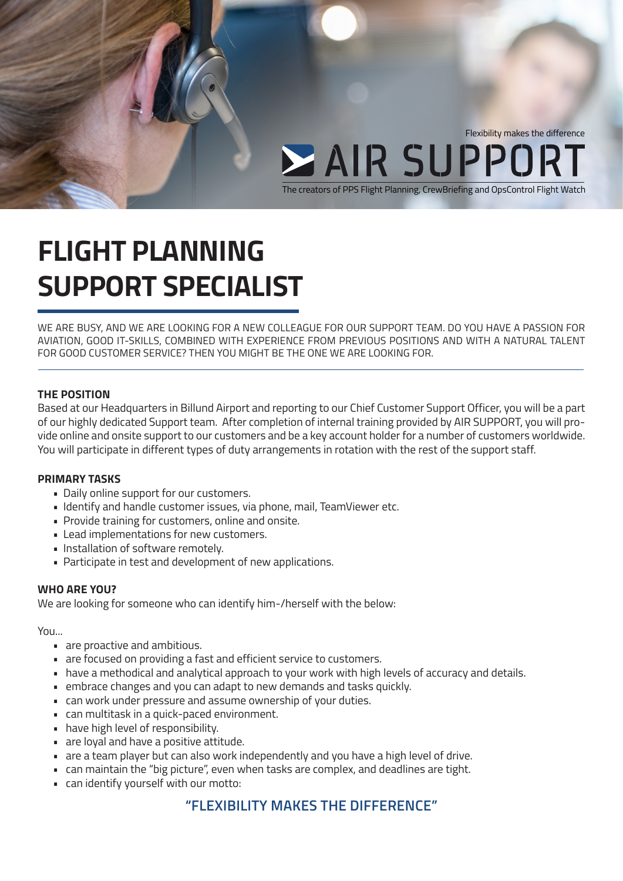

## **FLIGHT PLANNING SUPPORT SPECIALIST**

WE ARE BUSY, AND WE ARE LOOKING FOR A NEW COLLEAGUE FOR OUR SUPPORT TEAM. DO YOU HAVE A PASSION FOR AVIATION, GOOD IT-SKILLS, COMBINED WITH EXPERIENCE FROM PREVIOUS POSITIONS AND WITH A NATURAL TALENT FOR GOOD CUSTOMER SERVICE? THEN YOU MIGHT BE THE ONE WE ARE LOOKING FOR.

#### **THE POSITION**

Based at our Headquarters in Billund Airport and reporting to our Chief Customer Support Officer, you will be a part of our highly dedicated Support team. After completion of internal training provided by AIR SUPPORT, you will provide online and onsite support to our customers and be a key account holder for a number of customers worldwide. You will participate in different types of duty arrangements in rotation with the rest of the support staff.

#### **PRIMARY TASKS**

- Daily online support for our customers.
- Identify and handle customer issues, via phone, mail, TeamViewer etc.
- Provide training for customers, online and onsite.
- Lead implementations for new customers.
- Installation of software remotely.
- Participate in test and development of new applications.

#### **WHO ARE YOU?**

We are looking for someone who can identify him-/herself with the below:

#### You...

- are proactive and ambitious.
- are focused on providing a fast and efficient service to customers.
- have a methodical and analytical approach to your work with high levels of accuracy and details.
- embrace changes and you can adapt to new demands and tasks quickly.
- can work under pressure and assume ownership of your duties.
- can multitask in a quick-paced environment.
- have high level of responsibility.
- are loyal and have a positive attitude.
- are a team player but can also work independently and you have a high level of drive.
- can maintain the "big picture", even when tasks are complex, and deadlines are tight.
- can identify yourself with our motto:

### **"FLEXIBILITY MAKES THE DIFFERENCE"**